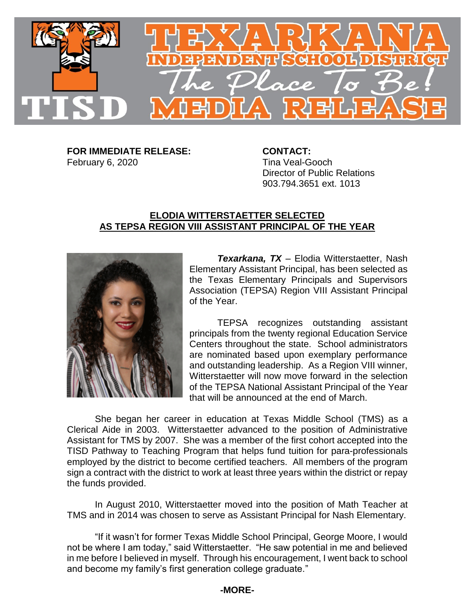

**FOR IMMEDIATE RELEASE: CONTACT:** February 6, 2020 Tina Veal-Gooch

Director of Public Relations 903.794.3651 ext. 1013

## **ELODIA WITTERSTAETTER SELECTED AS TEPSA REGION VIII ASSISTANT PRINCIPAL OF THE YEAR**



*Texarkana, TX* – Elodia Witterstaetter, Nash Elementary Assistant Principal, has been selected as the Texas Elementary Principals and Supervisors Association (TEPSA) Region VIII Assistant Principal of the Year.

TEPSA recognizes outstanding assistant principals from the twenty regional Education Service Centers throughout the state. School administrators are nominated based upon exemplary performance and outstanding leadership. As a Region VIII winner, Witterstaetter will now move forward in the selection of the TEPSA National Assistant Principal of the Year that will be announced at the end of March.

She began her career in education at Texas Middle School (TMS) as a Clerical Aide in 2003. Witterstaetter advanced to the position of Administrative Assistant for TMS by 2007. She was a member of the first cohort accepted into the TISD Pathway to Teaching Program that helps fund tuition for para-professionals employed by the district to become certified teachers. All members of the program sign a contract with the district to work at least three years within the district or repay the funds provided.

In August 2010, Witterstaetter moved into the position of Math Teacher at TMS and in 2014 was chosen to serve as Assistant Principal for Nash Elementary.

"If it wasn't for former Texas Middle School Principal, George Moore, I would not be where I am today," said Witterstaetter. "He saw potential in me and believed in me before I believed in myself. Through his encouragement, I went back to school and become my family's first generation college graduate."